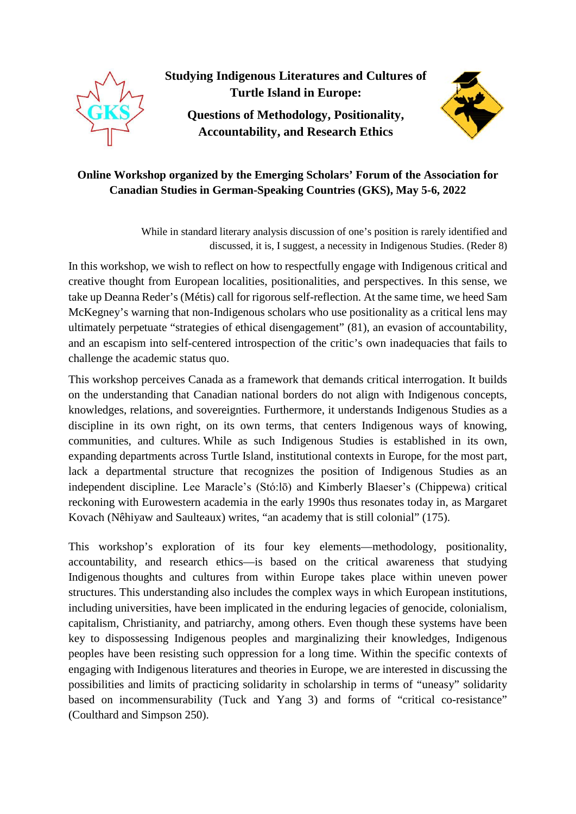

**Studying Indigenous Literatures and Cultures of Turtle Island in Europe:**

**Questions of Methodology, Positionality, Accountability, and Research Ethics**



# **Online Workshop organized by the Emerging Scholars' Forum of the Association for Canadian Studies in German-Speaking Countries (GKS), May 5-6, 2022**

While in standard literary analysis discussion of one's position is rarely identified and discussed, it is, I suggest, a necessity in Indigenous Studies. (Reder 8)

In this workshop, we wish to reflect on how to respectfully engage with Indigenous critical and creative thought from European localities, positionalities, and perspectives. In this sense, we take up Deanna Reder's (Métis) call for rigorous self-reflection. At the same time, we heed Sam McKegney's warning that non-Indigenous scholars who use positionality as a critical lens may ultimately perpetuate "strategies of ethical disengagement" (81), an evasion of accountability, and an escapism into self-centered introspection of the critic's own inadequacies that fails to challenge the academic status quo.

This workshop perceives Canada as a framework that demands critical interrogation. It builds on the understanding that Canadian national borders do not align with Indigenous concepts, knowledges, relations, and sovereignties. Furthermore, it understands Indigenous Studies as a discipline in its own right, on its own terms, that centers Indigenous ways of knowing, communities, and cultures. While as such Indigenous Studies is established in its own, expanding departments across Turtle Island, institutional contexts in Europe, for the most part, lack a departmental structure that recognizes the position of Indigenous Studies as an independent discipline. Lee Maracle's (Stó:lō) and Kimberly Blaeser's (Chippewa) critical reckoning with Eurowestern academia in the early 1990s thus resonates today in, as Margaret Kovach (Nêhiyaw and Saulteaux) writes, "an academy that is still colonial" (175).

This workshop's exploration of its four key elements—methodology, positionality, accountability, and research ethics—is based on the critical awareness that studying Indigenous thoughts and cultures from within Europe takes place within uneven power structures. This understanding also includes the complex ways in which European institutions, including universities, have been implicated in the enduring legacies of genocide, colonialism, capitalism, Christianity, and patriarchy, among others. Even though these systems have been key to dispossessing Indigenous peoples and marginalizing their knowledges, Indigenous peoples have been resisting such oppression for a long time. Within the specific contexts of engaging with Indigenous literatures and theories in Europe, we are interested in discussing the possibilities and limits of practicing solidarity in scholarship in terms of "uneasy" solidarity based on incommensurability (Tuck and Yang 3) and forms of "critical co-resistance" (Coulthard and Simpson 250).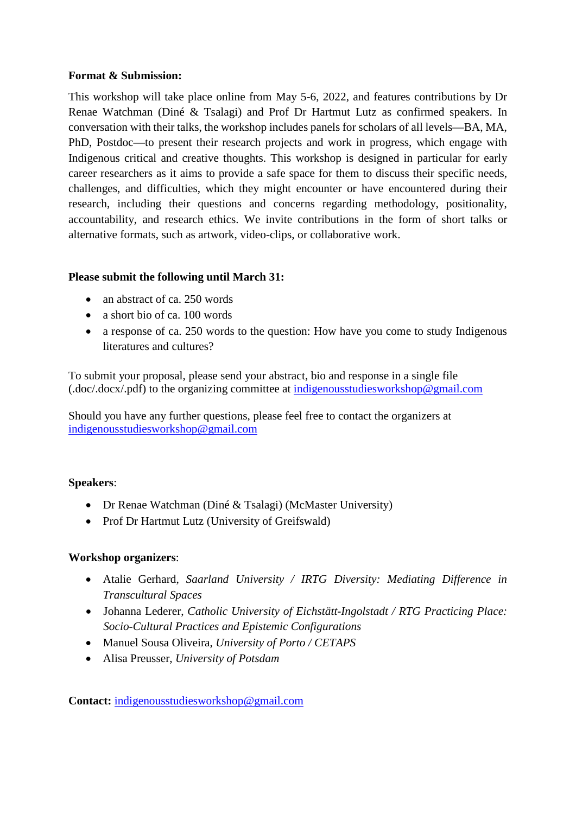### **Format & Submission:**

This workshop will take place online from May 5-6, 2022, and features contributions by Dr Renae Watchman (Diné & Tsalagi) and Prof Dr Hartmut Lutz as confirmed speakers. In conversation with their talks, the workshop includes panels for scholars of all levels—BA, MA, PhD, Postdoc—to present their research projects and work in progress, which engage with Indigenous critical and creative thoughts. This workshop is designed in particular for early career researchers as it aims to provide a safe space for them to discuss their specific needs, challenges, and difficulties, which they might encounter or have encountered during their research, including their questions and concerns regarding methodology, positionality, accountability, and research ethics. We invite contributions in the form of short talks or alternative formats, such as artwork, video-clips, or collaborative work.

## **Please submit the following until March 31:**

- an abstract of ca. 250 words
- a short bio of ca. 100 words
- a response of ca. 250 words to the question: How have you come to study Indigenous literatures and cultures?

To submit your proposal, please send your abstract, bio and response in a single file (.doc/.docx/.pdf) to the organizing committee at [indigenousstudiesworkshop@gmail.com](mailto:indigenousstudiesworkshop@gmail.com)

Should you have any further questions, please feel free to contact the organizers at [indigenousstudiesworkshop@gmail.com](mailto:indigenousstudiesworkshop@gmail.com)

### **Speakers**:

- Dr Renae Watchman (Diné & Tsalagi) (McMaster University)
- Prof Dr Hartmut Lutz (University of Greifswald)

### **Workshop organizers**:

- Atalie Gerhard, *Saarland University / IRTG Diversity: Mediating Difference in Transcultural Spaces*
- Johanna Lederer, *Catholic University of Eichstätt-Ingolstadt / RTG Practicing Place: Socio-Cultural Practices and Epistemic Configurations*
- Manuel Sousa Oliveira, *University of Porto / CETAPS*
- Alisa Preusser, *University of Potsdam*

**Contact:** [indigenousstudiesworkshop@gmail.com](mailto:indigenousstudiesworkshop@gmail.com)